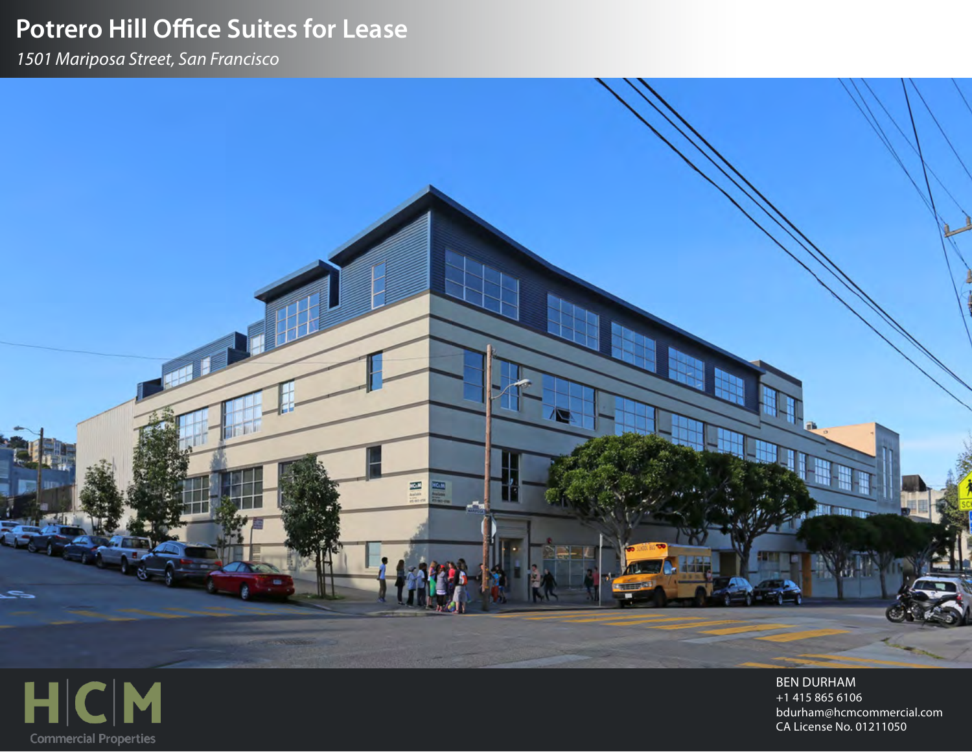# **Potrero Hill Office Suites for Lease**

酉

**1501 Mariposa Street, San Francisco** 



**BEN DURHAM** +1 415 865 6106 bdurham@hcmcommercial.com CA License No. 01211050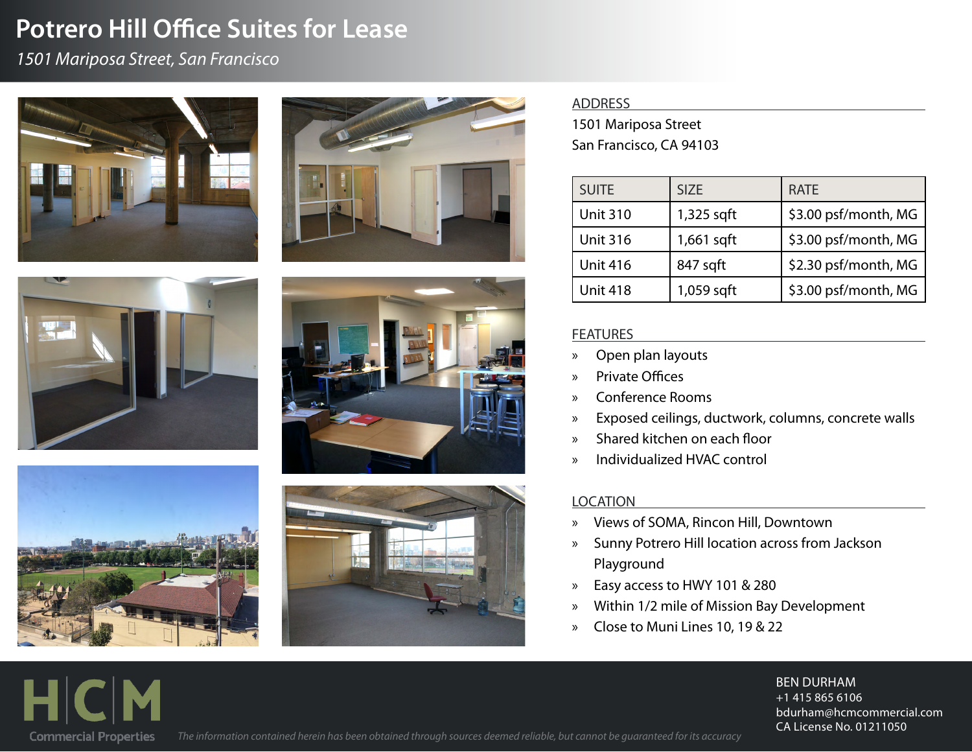## **Potrero Hill Office Suites for Lease**

### **1501 Mariposa Street, San Francisco**













#### ADDRESS

1501 Mariposa Street San Francisco, CA 94103

| <b>SUITE</b>    | <b>SIZE</b> | <b>RATE</b>          |
|-----------------|-------------|----------------------|
| <b>Unit 310</b> | 1,325 sqft  | \$3.00 psf/month, MG |
| <b>Unit 316</b> | 1,661 sqft  | \$3.00 psf/month, MG |
| <b>Unit 416</b> | 847 sqft    | \$2.30 psf/month, MG |
| <b>Unit 418</b> | 1,059 sqft  | \$3.00 psf/month, MG |

### **FEATURES**

- » Open plan layouts
- » Private Offices
- » Conference Rooms
- » Exposed ceilings, ductwork, columns, concrete walls
- » Shared kitchen on each floor
- » Individualized HVAC control

### LOCATION

- » Views of SOMA, Rincon Hill, Downtown
- » Sunny Potrero Hill location across from Jackson Playground
- » Easy access to HWY 101 & 280
- » Within 1/2 mile of Mission Bay Development
- » Close to Muni Lines 10, 19 & 22

#### **BEN DURHAM**  $+1$  415 865 6106 bdurham@hcmcommercial.com CA License No. 01211050



The information contained herein has been obtained through sources deemed reliable, but cannot be quaranteed for its accuracy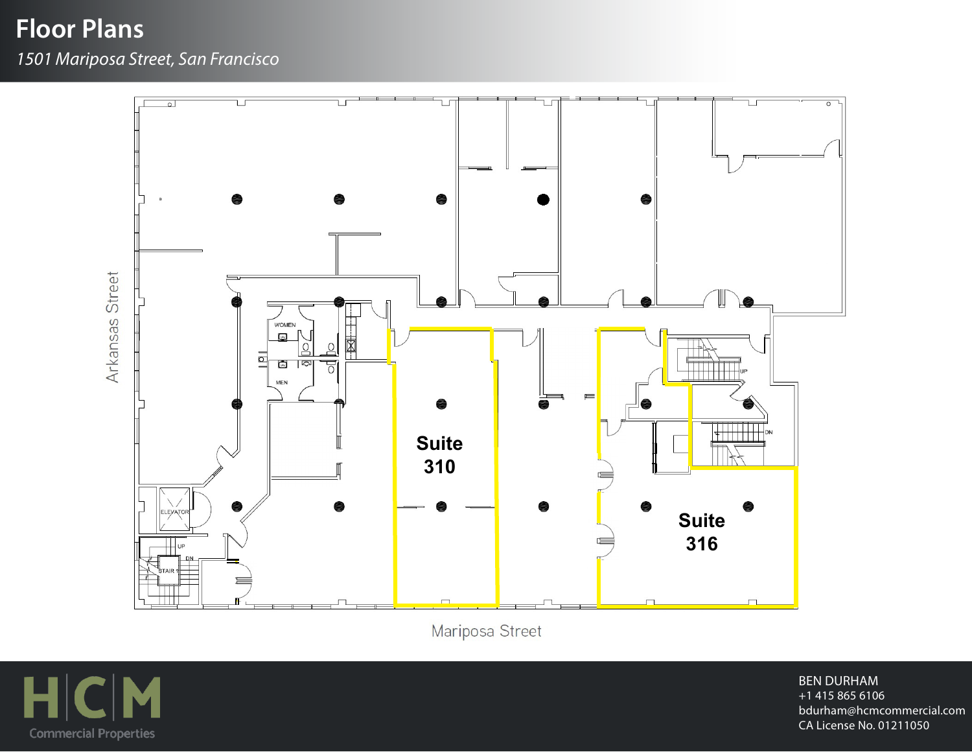**Floor Plans** 

**1501 Mariposa Street, San Francisco** 



Mariposa Street



**BEN DURHAM**  $+1$  415 865 6106 bdurham@hcmcommercial.com CA License No. 01211050